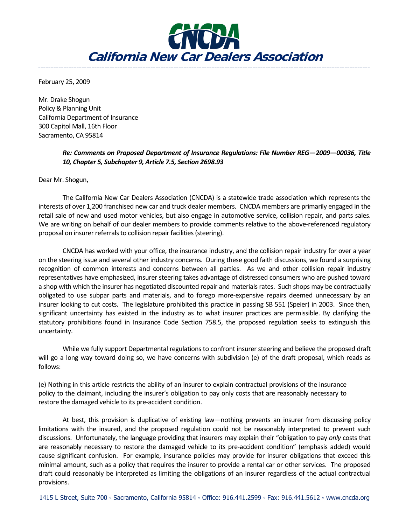

**\_\_\_\_\_\_\_\_\_\_\_\_\_\_\_\_\_\_\_\_\_\_\_\_\_\_\_\_\_\_\_\_\_\_\_\_\_\_\_\_\_\_\_\_\_\_\_\_\_\_\_\_\_\_\_\_\_\_\_\_\_\_\_\_\_\_\_\_\_\_\_\_\_\_\_\_\_\_\_\_\_\_\_\_\_\_\_\_\_\_\_\_\_\_\_\_\_\_\_\_\_\_\_\_\_\_\_\_\_\_\_\_\_\_\_\_\_\_\_\_\_\_\_\_\_\_\_\_\_\_**

February 25, 2009

Mr. Drake Shogun Policy & Planning Unit California Department of Insurance 300 Capitol Mall, 16th Floor Sacramento, CA 95814

## *Re: Comments on Proposed Department of Insurance Regulations: File Number REG—2009—00036, Title 10, Chapter 5, Subchapter 9, Article 7.5, Section 2698.93*

Dear Mr. Shogun,

The California New Car Dealers Association (CNCDA) is a statewide trade association which represents the interests of over 1,200 franchised new car and truck dealer members. CNCDA members are primarily engaged in the retail sale of new and used motor vehicles, but also engage in automotive service, collision repair, and parts sales. We are writing on behalf of our dealer members to provide comments relative to the above-referenced regulatory proposal on insurer referrals to collision repair facilities (steering).

CNCDA has worked with your office, the insurance industry, and the collision repair industry for over a year on the steering issue and several other industry concerns. During these good faith discussions, we found a surprising recognition of common interests and concerns between all parties. As we and other collision repair industry representatives have emphasized, insurer steering takes advantage of distressed consumers who are pushed toward a shop with which the insurer has negotiated discounted repair and materials rates. Such shops may be contractually obligated to use subpar parts and materials, and to forego more-expensive repairs deemed unnecessary by an insurer looking to cut costs. The legislature prohibited this practice in passing SB 551 (Speier) in 2003. Since then, significant uncertainty has existed in the industry as to what insurer practices are permissible. By clarifying the statutory prohibitions found in Insurance Code Section 758.5, the proposed regulation seeks to extinguish this uncertainty.

While we fully support Departmental regulations to confront insurer steering and believe the proposed draft will go a long way toward doing so, we have concerns with subdivision (e) of the draft proposal, which reads as follows:

(e) Nothing in this article restricts the ability of an insurer to explain contractual provisions of the insurance policy to the claimant, including the insurer's obligation to pay only costs that are reasonably necessary to restore the damaged vehicle to its pre-accident condition.

At best, this provision is duplicative of existing law—nothing prevents an insurer from discussing policy limitations with the insured, and the proposed regulation could not be reasonably interpreted to prevent such discussions. Unfortunately, the language providing that insurers may explain their "obligation to pay *only* costs that are reasonably necessary to restore the damaged vehicle to its pre-accident condition" (emphasis added) would cause significant confusion. For example, insurance policies may provide for insurer obligations that exceed this minimal amount, such as a policy that requires the insurer to provide a rental car or other services. The proposed draft could reasonably be interpreted as limiting the obligations of an insurer regardless of the actual contractual provisions.